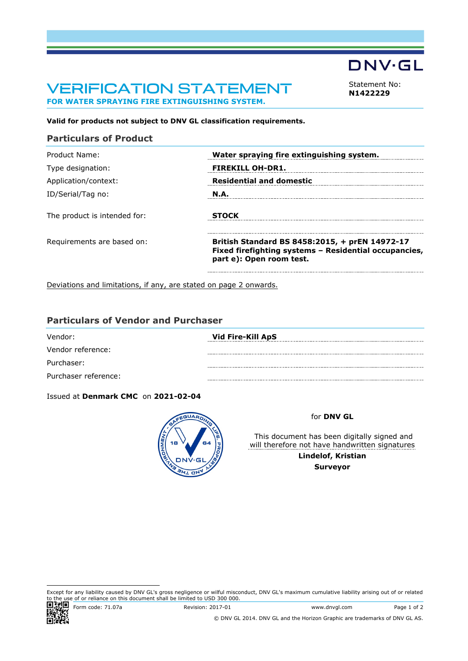# VERIFICATION STATEMENT **FOR WATER SPRAYING FIRE EXTINGUISHING SYSTEM.**

<span id="page-0-0"></span>Statement No: **N1422229**

**DNV·GL** 

**Valid for products not subject to DNV GL classification requirements.**

#### **Particulars of Product**

| <b>FIREKILL OH-DR1.</b>                                                                                                             |
|-------------------------------------------------------------------------------------------------------------------------------------|
| <b>Residential and domestic</b>                                                                                                     |
|                                                                                                                                     |
|                                                                                                                                     |
| British Standard BS 8458:2015, + prEN 14972-17<br>Fixed firefighting systems - Residential occupancies,<br>part e): Open room test. |
|                                                                                                                                     |

Deviations and limitations, if any, are stated on page 2 onwards.

# **Particulars of Vendor and Purchaser**

| Vendor:              | Vid Fire-Kill ApS |
|----------------------|-------------------|
| Vendor reference:    |                   |
| Purchaser:           |                   |
| Purchaser reference: |                   |

#### Issued at **Denmark CMC** on **2021-02-04**



#### for **DNV GL**

 This document has been digitally signed and will therefore not have handwritten signatures **Lindelof, Kristian Surveyor**

Except for any liability caused by DNV GL's gross negligence or wilful misconduct, DNV GL's maximum cumulative liability arising out of or related to the use of or reliance on this document shall be limited to USD 300 000.



Form code: 71.07a Revision: 2017-01 www.dnvgl.com Page 1 of 2

© DNV GL 2014. DNV GL and the Horizon Graphic are trademarks of DNV GL AS.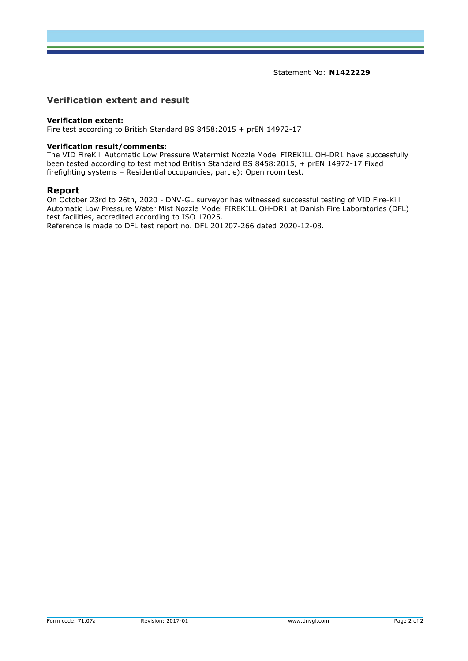Statement No: **[N1422229](#page-0-0)**

# **Verification extent and result**

#### **Verification extent:**

Fire test according to British Standard BS 8458:2015 + prEN 14972-17

#### **Verification result/comments:**

The VID FireKill Automatic Low Pressure Watermist Nozzle Model FIREKILL OH-DR1 have successfully been tested according to test method British Standard BS 8458:2015, + prEN 14972-17 Fixed firefighting systems – Residential occupancies, part e): Open room test.

#### **Report**

On October 23rd to 26th, 2020 - DNV-GL surveyor has witnessed successful testing of VID Fire-Kill Automatic Low Pressure Water Mist Nozzle Model FIREKILL OH-DR1 at Danish Fire Laboratories (DFL) test facilities, accredited according to ISO 17025. Reference is made to DFL test report no. DFL 201207-266 dated 2020-12-08.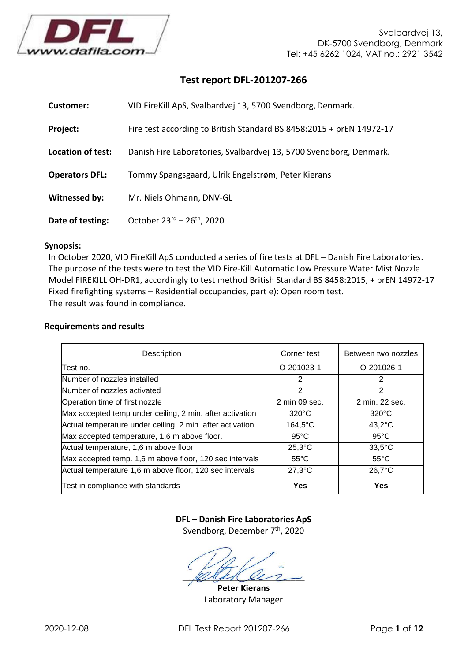

# **Test report DFL-201207-266**

| Customer:                | VID FireKill ApS, Svalbardvej 13, 5700 Svendborg, Denmark.           |
|--------------------------|----------------------------------------------------------------------|
| Project:                 | Fire test according to British Standard BS 8458:2015 + prEN 14972-17 |
| <b>Location of test:</b> | Danish Fire Laboratories, Svalbardvej 13, 5700 Svendborg, Denmark.   |
| <b>Operators DFL:</b>    | Tommy Spangsgaard, Ulrik Engelstrøm, Peter Kierans                   |
| Witnessed by:            | Mr. Niels Ohmann, DNV-GL                                             |
| Date of testing:         | October $23^{rd}$ – $26^{th}$ , 2020                                 |

# **Synopsis:**

In October 2020, VID FireKill ApS conducted a series of fire tests at DFL – Danish Fire Laboratories. The purpose of the tests were to test the VID Fire-Kill Automatic Low Pressure Water Mist Nozzle Model FIREKILL OH-DR1, accordingly to test method British Standard BS 8458:2015, + prEN 14972-17 Fixed firefighting systems – Residential occupancies, part e): Open room test. The result was found in compliance.

#### **Requirements and results**

| Description                                               | Corner test       | Between two nozzles |
|-----------------------------------------------------------|-------------------|---------------------|
| Test no.                                                  | O-201023-1        | O-201026-1          |
| Number of nozzles installed                               | 2                 | 2                   |
| Number of nozzles activated                               | 2                 | 2                   |
| Operation time of first nozzle                            | 2 min 09 sec.     | 2 min. 22 sec.      |
| Max accepted temp under ceiling, 2 min. after activation  | $320^{\circ}$ C   | $320^{\circ}$ C     |
| Actual temperature under ceiling, 2 min. after activation | $164,5^{\circ}$ C | $43,2^{\circ}$ C    |
| Max accepted temperature, 1,6 m above floor.              | $95^{\circ}$ C    | $95^{\circ}$ C      |
| Actual temperature, 1,6 m above floor                     | $25,3$ °C         | $33,5^{\circ}$ C    |
| Max accepted temp. 1,6 m above floor, 120 sec intervals   | $55^{\circ}$ C    | $55^{\circ}$ C      |
| Actual temperature 1,6 m above floor, 120 sec intervals   | $27,3$ °C         | $26,7^{\circ}$ C    |
| Test in compliance with standards                         | <b>Yes</b>        | Yes                 |

# **DFL – Danish Fire Laboratories ApS**

Svendborg, December 7<sup>th</sup>, 2020

 $\ell$ 

**Peter Kierans** Laboratory Manager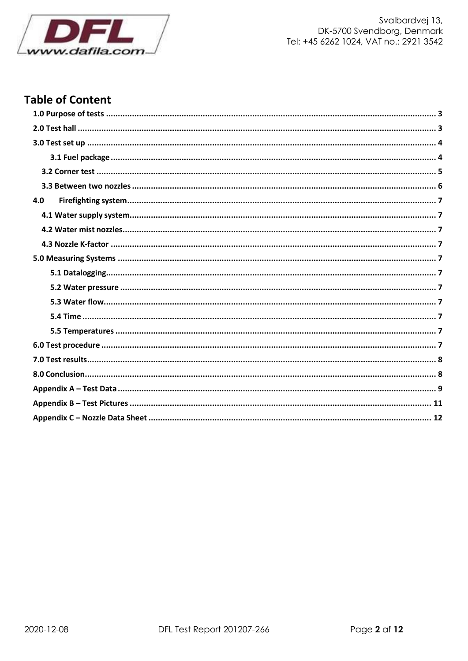

# **Table of Content**

| 4.0 |  |
|-----|--|
|     |  |
|     |  |
|     |  |
|     |  |
|     |  |
|     |  |
|     |  |
|     |  |
|     |  |
|     |  |
|     |  |
|     |  |
|     |  |
|     |  |
|     |  |
|     |  |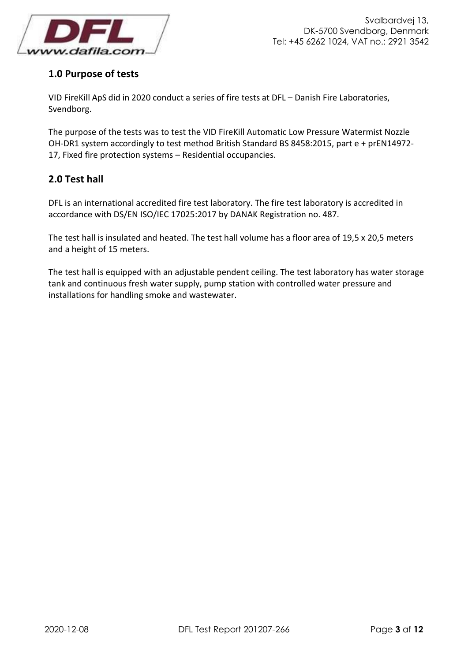

# <span id="page-4-0"></span>**1.0 Purpose of tests**

VID FireKill ApS did in 2020 conduct a series of fire tests at DFL – Danish Fire Laboratories, Svendborg.

The purpose of the tests was to test the VID FireKill Automatic Low Pressure Watermist Nozzle OH-DR1 system accordingly to test method British Standard BS 8458:2015, part e + prEN14972- 17, Fixed fire protection systems – Residential occupancies.

# <span id="page-4-1"></span>**2.0 Test hall**

DFL is an international accredited fire test laboratory. The fire test laboratory is accredited in accordance with DS/EN ISO/IEC 17025:2017 by DANAK Registration no. 487.

The test hall is insulated and heated. The test hall volume has a floor area of 19,5 x 20,5 meters and a height of 15 meters.

The test hall is equipped with an adjustable pendent ceiling. The test laboratory has water storage tank and continuous fresh water supply, pump station with controlled water pressure and installations for handling smoke and wastewater.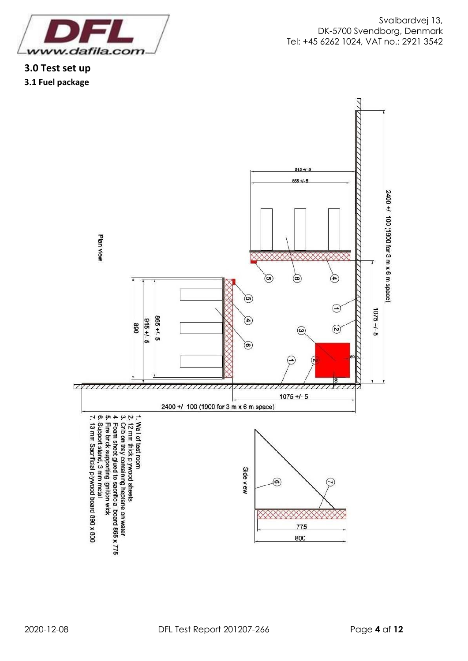<span id="page-5-1"></span><span id="page-5-0"></span>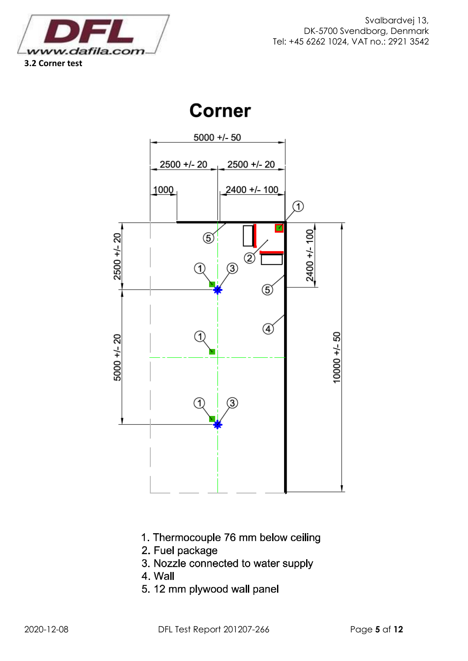<span id="page-6-0"></span>

# **Corner**



- 1. Thermocouple 76 mm below ceiling
- 2. Fuel package
- 3. Nozzle connected to water supply
- 4. Wall
- 5.12 mm plywood wall panel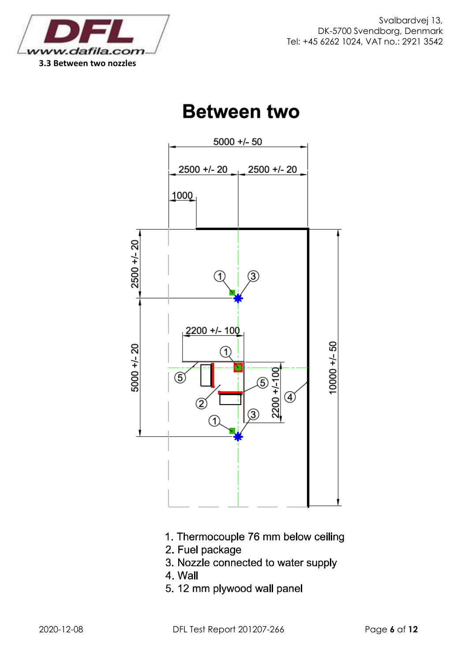<span id="page-7-0"></span>

# **Between two**



- 1. Thermocouple 76 mm below ceiling
- 2. Fuel package
- 3. Nozzle connected to water supply
- 4. Wall
- 5.12 mm plywood wall panel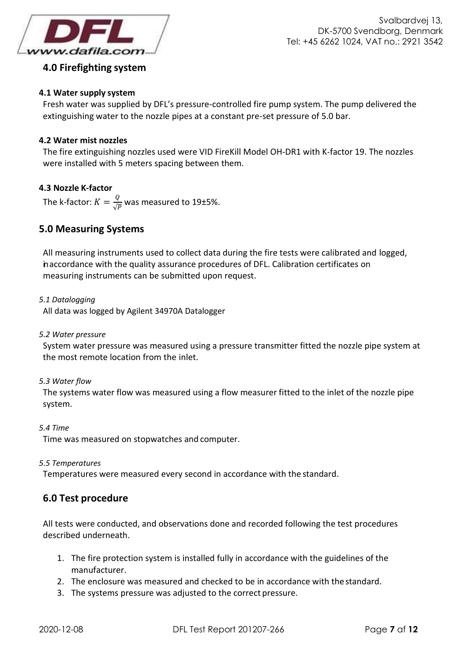

# <span id="page-8-0"></span>**4.0 Firefighting system**

# <span id="page-8-1"></span>**4.1 Water supply system**

Fresh water was supplied by DFL's pressure-controlled fire pump system. The pump delivered the extinguishing water to the nozzle pipes at a constant pre-set pressure of 5.0 bar.

# <span id="page-8-2"></span>**4.2 Water mist nozzles**

The fire extinguishing nozzles used were VID FireKill Model OH-DR1 with K-factor 19. The nozzles were installed with 5 meters spacing between them.

# <span id="page-8-3"></span>**4.3 Nozzle K-factor**

The k-factor:  $K=\frac{Q}{\sqrt{R}}$  $\frac{\mathcal{L}}{\sqrt{P}}$  was measured to 19±5%.

# <span id="page-8-4"></span>**5.0 Measuring Systems**

All measuring instruments used to collect data during the fire tests were calibrated and logged, inaccordance with the quality assurance procedures of DFL. Calibration certificates on measuring instruments can be submitted upon request.

### <span id="page-8-5"></span>*5.1 Datalogging*

All data was logged by Agilent 34970A Datalogger

### <span id="page-8-6"></span>*5.2 Water pressure*

System water pressure was measured using a pressure transmitter fitted the nozzle pipe system at the most remote location from the inlet.

# <span id="page-8-7"></span>*5.3 Water flow*

The systems water flow was measured using a flow measurer fitted to the inlet of the nozzle pipe system.

#### <span id="page-8-8"></span>*5.4 Time*

Time was measured on stopwatches and computer.

#### <span id="page-8-9"></span>*5.5 Temperatures*

Temperatures were measured every second in accordance with the standard.

# <span id="page-8-10"></span>**6.0 Test procedure**

All tests were conducted, and observations done and recorded following the test procedures described underneath.

- 1. The fire protection system is installed fully in accordance with the guidelines of the manufacturer.
- 2. The enclosure was measured and checked to be in accordance with the standard.
- 3. The systems pressure was adjusted to the correct pressure.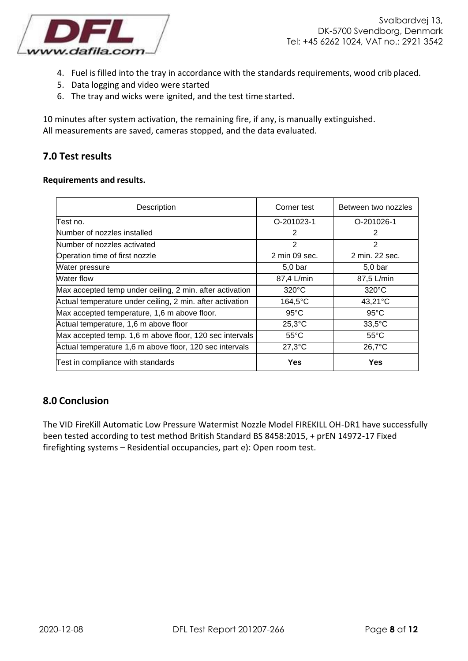

- 4. Fuel is filled into the tray in accordance with the standards requirements, wood crib placed.
- 5. Data logging and video were started
- 6. The tray and wicks were ignited, and the test time started.

10 minutes after system activation, the remaining fire, if any, is manually extinguished. All measurements are saved, cameras stopped, and the data evaluated.

# <span id="page-9-0"></span>**7.0 Test results**

#### **Requirements and results.**

| Description                                               | Corner test       | Between two nozzles |
|-----------------------------------------------------------|-------------------|---------------------|
| lTest no.                                                 | O-201023-1        | O-201026-1          |
| Number of nozzles installed                               | 2                 | 2                   |
| Number of nozzles activated                               | 2                 | 2                   |
| Operation time of first nozzle                            | 2 min 09 sec.     | 2 min. 22 sec.      |
| Water pressure                                            | $5,0$ bar         | $5,0$ bar           |
| Water flow                                                | 87,4 L/min        | 87,5 L/min          |
| Max accepted temp under ceiling, 2 min. after activation  | $320^{\circ}$ C   | $320^{\circ}$ C     |
| Actual temperature under ceiling, 2 min. after activation | $164,5^{\circ}$ C | 43,21°C             |
| Max accepted temperature, 1,6 m above floor.              | $95^{\circ}$ C    | $95^{\circ}$ C      |
| Actual temperature, 1,6 m above floor                     | $25,3$ °C         | $33,5^{\circ}$ C    |
| Max accepted temp. 1,6 m above floor, 120 sec intervals   | $55^{\circ}$ C    | $55^{\circ}$ C      |
| Actual temperature 1,6 m above floor, 120 sec intervals   | $27,3$ °C         | 26,7°C              |
| Test in compliance with standards                         | Yes               | Yes                 |

# <span id="page-9-1"></span>**8.0 Conclusion**

The VID FireKill Automatic Low Pressure Watermist Nozzle Model FIREKILL OH-DR1 have successfully been tested according to test method British Standard BS 8458:2015, + prEN 14972-17 Fixed firefighting systems – Residential occupancies, part e): Open room test.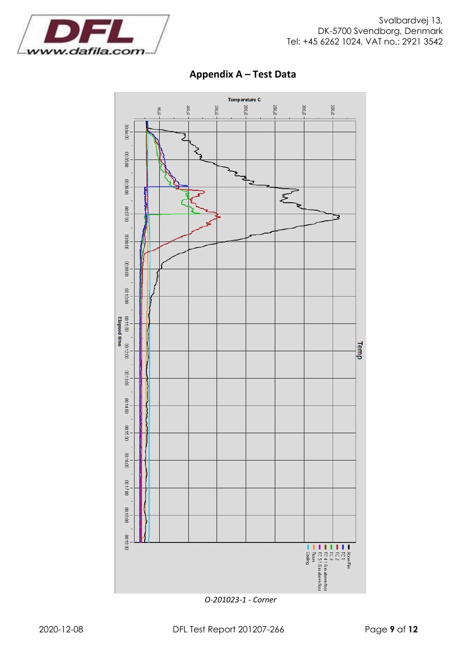<span id="page-10-0"></span>

# **Appendix A – Test Data**

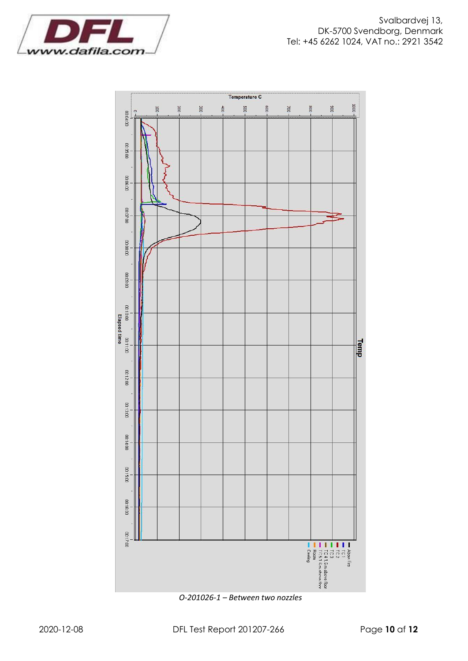

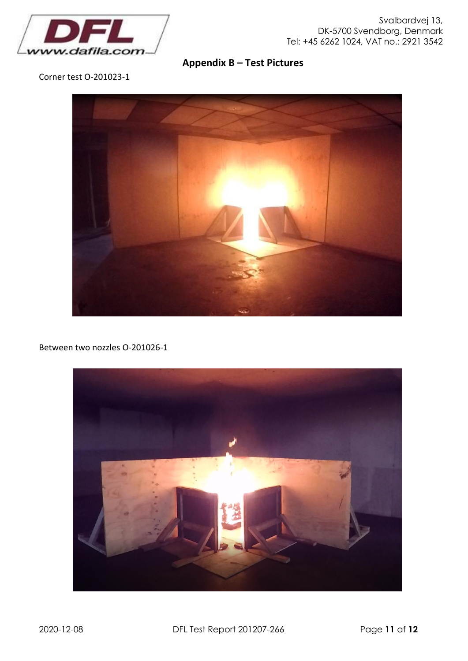

**Appendix B – Test Pictures**

<span id="page-12-0"></span>Corner test O-201023-1



Between two nozzles O-201026-1